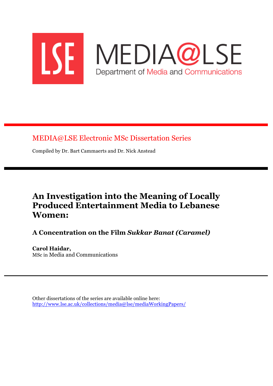

MEDIA@LSE Electronic MSc Dissertation Series

Compiled by Dr. Bart Cammaerts and Dr. Nick Anstead

# **An Investigation into the Meaning of Locally Produced Entertainment Media to Lebanese Women:**

## **A Concentration on the Film** *Sukkar Banat (Caramel)*

**Carol Haidar,** MSc in Media and Communications

Other dissertations of the series are available online here: http://www.lse.ac.uk/collections/media@lse/mediaWorkingPapers/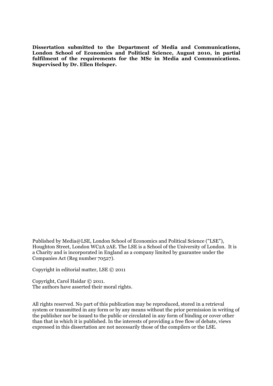**Dissertation submitted to the Department of Media and Communications, London School of Economics and Political Science, August 2010, in partial fulfilment of the requirements for the MSc in Media and Communications. Supervised by Dr. Ellen Helsper.**

Published by Media@LSE, London School of Economics and Political Science ("LSE"), Houghton Street, London WC2A 2AE. The LSE is a School of the University of London. It is a Charity and is incorporated in England as a company limited by guarantee under the Companies Act (Reg number 70527).

Copyright in editorial matter, LSE © 2011

Copyright, Carol Haidar © 2011. The authors have asserted their moral rights.

All rights reserved. No part of this publication may be reproduced, stored in a retrieval system or transmitted in any form or by any means without the prior permission in writing of the publisher nor be issued to the public or circulated in any form of binding or cover other than that in which it is published. In the interests of providing a free flow of debate, views expressed in this dissertation are not necessarily those of the compilers or the LSE.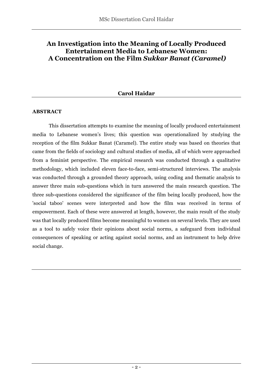## **An Investigation into the Meaning of Locally Produced Entertainment Media to Lebanese Women: A Concentration on the Film** *Sukkar Banat (Caramel)*

## **Carol Haidar**

#### **ABSTRACT**

This dissertation attempts to examine the meaning of locally produced entertainment media to Lebanese women's lives; this question was operationalized by studying the reception of the film Sukkar Banat (Caramel). The entire study was based on theories that came from the fields of sociology and cultural studies of media, all of which were approached from a feminist perspective. The empirical research was conducted through a qualitative methodology, which included eleven face-to-face, semi-structured interviews. The analysis was conducted through a grounded theory approach, using coding and thematic analysis to answer three main sub-questions which in turn answered the main research question. The three sub-questions considered the significance of the film being locally produced, how the 'social taboo' scenes were interpreted and how the film was received in terms of empowerment. Each of these were answered at length, however, the main result of the study was that locally produced films become meaningful to women on several levels. They are used as a tool to safely voice their opinions about social norms, a safeguard from individual consequences of speaking or acting against social norms, and an instrument to help drive social change.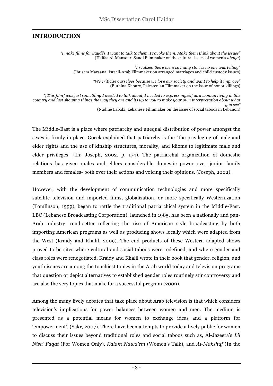#### **INTRODUCTION**

*"I make films for Saudi's. I want to talk to them. Provoke them. Make them think about the issues"* (Haifaa Al-Mansour, Saudi Filmmaker on the cultural issues of women's *abaya*)

 *"I realized there were so many stories no one was telling"* (Ibtisam Maraana, Israeli-Arab Filmmaker on arranged marriages and child custody issues)

> *"We criticize ourselves because we love our society and want to help it improve"* (Buthina Khoury, Palestenian Filmmaker on the issue of honor killings)

*"[This film] was just something I needed to talk about, I needed to express myself as a woman living in this country and just showing things the way they are and its up to you to make your own interpretation about what you see"*

(Nadine Labaki, Lebanese Filmmaker on the issue of social taboos in Lebanon)

The Middle-East is a place where patriarchy and unequal distribution of power amongst the sexes is firmly in place. Gocek explained that patriarchy is the "the privileging of male and elder rights and the use of kinship structures, morality, and idioms to legitimate male and elder privileges" (In: Joseph, 2002, p. 174). The patriarchal organization of domestic relations has given males and elders considerable domestic power over junior family members and females- both over their actions and voicing their opinions. (Joseph, 2002).

However, with the development of communication technologies and more specifically satellite television and imported films, globalization, or more specifically Westernization (Tomlinson, 1999), began to rattle the traditional patriarchical system in the Middle-East. LBC (Lebanese Broadcasting Corporation), launched in 1985, has been a nationally and pan-Arab industry trend-setter reflecting the rise of American style broadcasting by both importing American programs as well as producing shows locally which were adapted from the West (Kraidy and Khalil, 2009). The end products of these Western adapted shows proved to be sites where cultural and social taboos were redefined, and where gender and class roles were renegotiated. Kraidy and Khalil wrote in their book that gender, religion, and youth issues are among the touchiest topics in the Arab world today and television programs that question or depict alternatives to established gender roles routinely stir controversy and are also the very topics that make for a successful program (2009).

Among the many lively debates that take place about Arab television is that which considers television's implications for power balances between women and men. The medium is presented as a potential means for women to exchange ideas and a platform for 'empowerment'. (Sakr, 2007). There have been attempts to provide a lively public for women to discuss their issues beyond traditional roles and social taboos such as, Al-Jazeera's *Lil Nisa' Faqat* (For Women Only), *Kalam Nawa'em* (Women's Talk), and *Al-Makshuf* (In the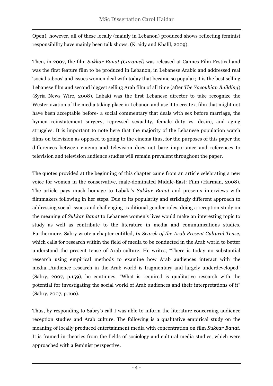Open), however, all of these locally (mainly in Lebanon) produced shows reflecting feminist responsibility have mainly been talk shows. (Kraidy and Khalil, 2009).

Then, in 2007, the film *Sukkar Banat (Caramel)* was released at Cannes Film Festival and was the first feature film to be produced in Lebanon, in Lebanese Arabic and addressed real 'social taboos' and issues women deal with today that became so popular; it is the best selling Lebanese film and second biggest selling Arab film of all time (after *The Yacoubian Building*) (Syria News Wire, 2008). Labaki was the first Lebanese director to take recognize the Westernization of the media taking place in Lebanon and use it to create a film that might not have been acceptable before- a social commentary that deals with sex before marriage, the hymen reinstatement surgery, repressed sexuality, female duty vs. desire, and aging struggles. It is important to note here that the majority of the Lebanese population watch films on television as opposed to going to the cinema thus, for the purposes of this paper the differences between cinema and television does not bare importance and references to television and television audience studies will remain prevalent throughout the paper.

The quotes provided at the beginning of this chapter came from an article celebrating a new voice for women in the conservative, male-dominated Middle-East: Film (Harman, 2008). The article pays much homage to Labaki's *Sukkar Banat* and presents interviews with filmmakers following in her steps. Due to its popularity and strikingly different approach to addressing social issues and challenging traditional gender roles, doing a reception study on the meaning of *Sukkar Banat* to Lebanese women's lives would make an interesting topic to study as well as contribute to the literature in media and communications studies. Furthermore, Sabry wrote a chapter entitled, *In Search of the Arab Present Cultural Tense*, which calls for research within the field of media to be conducted in the Arab world to better understand the present tense of Arab culture. He writes, "There is today no substantial research using empirical methods to examine how Arab audiences interact with the media…Audience research in the Arab world is fragmentary and largely underdeveloped" (Sabry, 2007, p.159), he continues, "What is required is qualitative research with the potential for investigating the social world of Arab audiences and their interpretations of it" (Sabry, 2007, p.160).

Thus, by responding to Sabry's call I was able to inform the literature concerning audience reception studies and Arab culture. The following is a qualitative empirical study on the meaning of locally produced entertainment media with concentration on film *Sukkar Banat*. It is framed in theories from the fields of sociology and cultural media studies, which were approached with a feminist perspective.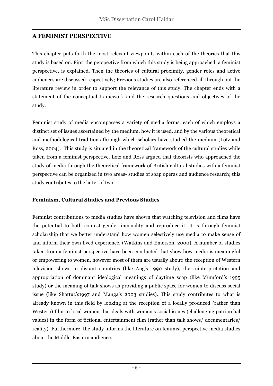### **A FEMINIST PERSPECTIVE**

This chapter puts forth the most relevant viewpoints within each of the theories that this study is based on. First the perspective from which this study is being approached, a feminist perspective, is explained. Then the theories of cultural proximity, gender roles and active audiences are discussed respectively; Previous studies are also referenced all through out the literature review in order to support the relevance of this study. The chapter ends with a statement of the conceptual framework and the research questions and objectives of the study.

Feminist study of media encompasses a variety of media forms, each of which employs a distinct set of issues ascertained by the medium, how it is used, and by the various theoretical and methodological traditions through which scholars have studied the medium (Lotz and Ross, 2004). This study is situated in the theoretical framework of the cultural studies while taken from a feminist perspective. Lotz and Ross argued that theorists who approached the study of media through the theoretical framework of British cultural studies with a feminist perspective can be organized in two areas- studies of soap operas and audience research; this study contributes to the latter of two.

#### **Feminism, Cultural Studies and Previous Studies**

Feminist contributions to media studies have shown that watching television and films have the potential to both contest gender inequality and reproduce it. It is through feminist scholarship that we better understand how women selectively use media to make sense of and inform their own lived experience. (Watkins and Emerson, 2000). A number of studies taken from a feminist perspective have been conducted that show how media is meaningful or empowering to women, however most of them are usually about: the reception of Western television shows in distant countries (like Ang's 1990 study), the reinterpretation and appropriation of dominant ideological meanings of daytime soap (like Mumford's 1995 study) or the meaning of talk shows as providing a public space for women to discuss social issue (like Shattuc's1997 and Manga's 2003 studies). This study contributes to what is already known in this field by looking at the reception of a locally produced (rather than Western) film to local women that deals with women's social issues (challenging patriarchal values) in the form of fictional entertainment film (rather than talk shows/ documentaries/ reality). Furthermore, the study informs the literature on feminist perspective media studies about the Middle-Eastern audience.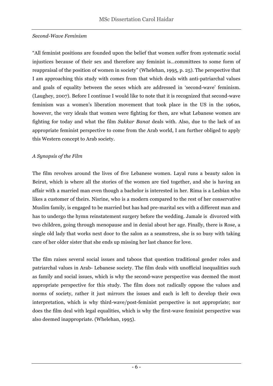#### *Second-Wave Feminism*

"All feminist positions are founded upon the belief that women suffer from systematic social injustices because of their sex and therefore any feminist is…committees to some form of reappraisal of the position of women in society" (Whelehan, 1995, p. 25). The perspective that I am approaching this study with comes from that which deals with anti-patriarchal values and goals of equality between the sexes which are addressed in 'second-wave' feminism. (Laughey, 2007). Before I continue I would like to note that it is recognized that second-wave feminism was a women's liberation movement that took place in the US in the 1960s, however, the very ideals that women were fighting for then, are what Lebanese women are fighting for today and what the film *Sukkar Banat* deals with. Also, due to the lack of an appropriate feminist perspective to come from the Arab world, I am further obliged to apply this Western concept to Arab society.

#### *A Synopsis of the Film*

The film revolves around the lives of five Lebanese women. Layal runs a beauty salon in Beirut, which is where all the stories of the women are tied together, and she is having an affair with a married man even though a bachelor is interested in her. Rima is a Lesbian who likes a customer of theirs. Nisrine, who is a modern compared to the rest of her conservative Muslim family, is engaged to be married but has had pre-marital sex with a different man and has to undergo the hymn reinstatement surgery before the wedding. Jamale is divorced with two children, going through menopause and in denial about her age. Finally, there is Rose, a single old lady that works next door to the salon as a seamstress, she is so busy with taking care of her older sister that she ends up missing her last chance for love.

The film raises several social issues and taboos that question traditional gender roles and patriarchal values in Arab- Lebanese society. The film deals with unofficial inequalities such as family and social issues, which is why the second-wave perspective was deemed the most appropriate perspective for this study. The film does not radically oppose the values and norms of society, rather it just mirrors the issues and each is left to develop their own interpretation, which is why third-wave/post-feminist perspective is not appropriate; nor does the film deal with legal equalities, which is why the first-wave feminist perspective was also deemed inappropriate. (Whelehan, 1995).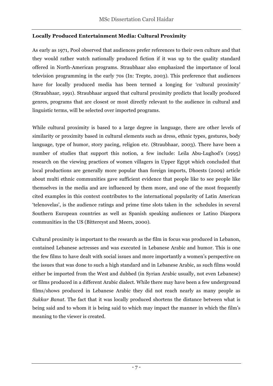#### **Locally Produced Entertainment Media: Cultural Proximity**

As early as 1971, Pool observed that audiences prefer references to their own culture and that they would rather watch nationally produced fiction if it was up to the quality standard offered in North-American programs. Straubhaar also emphasized the importance of local television programming in the early 70s (In: Trepte, 2003). This preference that audiences have for locally produced media has been termed a longing for 'cultural proximity' (Straubhaar, 1991). Straubhaar argued that cultural proximity predicts that locally produced genres, programs that are closest or most directly relevant to the audience in cultural and linguistic terms, will be selected over imported programs.

While cultural proximity is based to a large degree in language, there are other levels of similarity or proximity based in cultural elements such as dress, ethnic types, gestures, body language, type of humor, story pacing, religion etc. (Straubhaar, 2003). There have been a number of studies that support this notion, a few include: Leila Abu-Lughod's (1995) research on the viewing practices of women villagers in Upper Egypt which concluded that local productions are generally more popular than foreign imports, Dhoests (2009) article about multi ethnic communities gave sufficient evidence that people like to see people like themselves in the media and are influenced by them more, and one of the most frequently cited examples in this context contributes to the international popularity of Latin American 'telenovelas', is the audience ratings and prime time slots taken in the schedules in several Southern European countries as well as Spanish speaking audiences or Latino Diaspora communities in the US (Bittereyst and Meers, 2000).

Cultural proximity is important to the research as the film in focus was produced in Lebanon, contained Lebanese actresses and was executed in Lebanese Arabic and humor. This is one the few films to have dealt with social issues and more importantly a women's perspective on the issues that was done to such a high standard and in Lebanese Arabic, as such films would either be imported from the West and dubbed (in Syrian Arabic usually, not even Lebanese) or films produced in a different Arabic dialect. While there may have been a few underground films/shows produced in Lebanese Arabic they did not reach nearly as many people as *Sukkar Banat.* The fact that it was locally produced shortens the distance between what is being said and to whom it is being said to which may impact the manner in which the film's meaning to the viewer is created.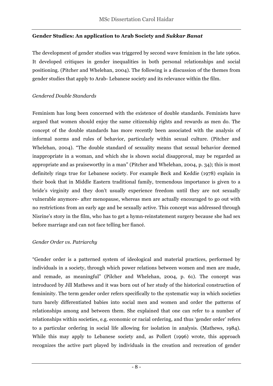#### **Gender Studies: An application to Arab Society and** *Sukkar Banat*

The development of gender studies was triggered by second wave feminism in the late 1960s. It developed critiques in gender inequalities in both personal relationships and social positioning. (Pitcher and Whelehan, 2004). The following is a discussion of the themes from gender studies that apply to Arab- Lebanese society and its relevance within the film.

#### *Gendered Double Standards*

Feminism has long been concerned with the existence of double standards. Feminists have argued that women should enjoy the same citizenship rights and rewards as men do. The concept of the double standards has more recently been associated with the analysis of informal norms and rules of behavior, particularly within sexual culture. (Pitcher and Whelehan, 2004). "The double standard of sexuality means that sexual behavior deemed inappropriate in a woman, and which she is shown social disapproval, may be regarded as appropriate and as praiseworthy in a man" (Pitcher and Whelehan, 2004, p. 34); this is most definitely rings true for Lebanese society. For example Beck and Keddie (1978) explain in their book that in Middle Eastern traditional family, tremendous importance is given to a bride's virginity and they don't usually experience freedom until they are not sexually vulnerable anymore- after menopause, whereas men are actually encouraged to go out with no restrictions from an early age and be sexually active. This concept was addressed through Nisrine's story in the film, who has to get a hymn-reinstatement surgery because she had sex before marriage and can not face telling her fiancé.

#### *Gender Order vs. Patriarchy*

"Gender order is a patterned system of ideological and material practices, performed by individuals in a society, through which power relations between women and men are made, and remade, as meaningful" (Pilcher and Whelehan, 2004, p. 61). The concept was introduced by Jill Mathews and it was born out of her study of the historical construction of femininity. The term gender order refers specifically to the systematic way in which societies turn barely differentiated babies into social men and women and order the patterns of relationships among and between them. She explained that one can refer to a number of relationships within societies, e.g. economic or racial ordering, and thus 'gender order' refers to a particular ordering in social life allowing for isolation in analysis. (Mathews, 1984). While this may apply to Lebanese society and, as Pollert (1996) wrote, this approach recognizes the active part played by individuals in the creation and recreation of gender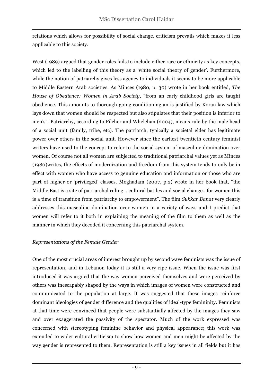relations which allows for possibility of social change, criticism prevails which makes it less applicable to this society.

West (1989) argued that gender roles fails to include either race or ethnicity as key concepts, which led to the labelling of this theory as a 'white social theory of gender'. Furthermore, while the notion of patriarchy gives less agency to individuals it seems to be more applicable to Middle Eastern Arab societies. As Minces (1980, p. 30) wrote in her book entitled, *The House of Obedience: Women in Arab Society*, "from an early childhood girls are taught obedience. This amounts to thorough-going conditioning an is justified by Koran law which lays down that women should be respected but also stipulates that their position is inferior to men's". Patriarchy, according to Pilcher and Whelehan (2004), means rule by the male head of a social unit (family, tribe, etc). The patriarch, typically a societal elder has legitimate power over others in the social unit. However since the earliest twentieth century feminist writers have used to the concept to refer to the social system of masculine domination over women. Of course not all women are subjected to traditional patriarchal values yet as Minces (1980)writes, the effects of modernization and freedom from this system tends to only be in effect with women who have access to genuine education and information or those who are part of higher or 'privileged' classes. Moghadam (2007, p.2) wrote in her book that, "the Middle East is a site of patriarchal ruling… cultural battles and social change…for women this is a time of transition from patriarchy to empowerment". The film *Sukkar Banat* very clearly addresses this masculine domination over women in a variety of ways and I predict that women will refer to it both in explaining the meaning of the film to them as well as the manner in which they decoded it concerning this patriarchal system.

## *Representations of the Female Gender*

One of the most crucial areas of interest brought up by second wave feminists was the issue of representation, and in Lebanon today it is still a very ripe issue. When the issue was first introduced it was argued that the way women perceived themselves and were perceived by others was inescapably shaped by the ways in which images of women were constructed and communicated to the population at large. It was suggested that these images reinforce dominant ideologies of gender difference and the qualities of ideal-type femininity. Feminists at that time were convinced that people were substantially affected by the images they saw and over exaggerated the passivity of the spectator. Much of the work expressed was concerned with stereotyping feminine behavior and physical appearance; this work was extended to wider cultural criticism to show how women and men might be affected by the way gender is represented to them. Representation is still a key issues in all fields but it has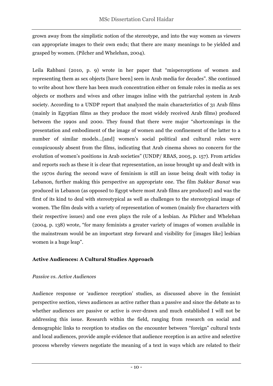grown away from the simplistic notion of the stereotype, and into the way women as viewers can appropriate images to their own ends; that there are many meanings to be yielded and grasped by women. (Pilcher and Whelehan, 2004).

Leila Rahbani (2010, p. 9) wrote in her paper that "misperceptions of women and representing them as sex objects [have been] seen in Arab media for decades". She continued to write about how there has been much concentration either on female roles in media as sex objects or mothers and wives and other images inline with the patriarchal system in Arab society. According to a UNDP report that analyzed the main characteristics of 31 Arab films (mainly in Egyptian films as they produce the most widely received Arab films) produced between the 1990s and 2000. They found that there were major "shortcomings in the presentation and embodiment of the image of women and the confinement of the latter to a number of similar models…[and] women's social political and cultural roles were conspicuously absent from the films, indicating that Arab cinema shows no concern for the evolution of women's positions in Arab societies" (UNDP/ RBAS, 2005, p. 157). From articles and reports such as these it is clear that representation, an issue brought up and dealt with in the 1970s during the second wave of feminism is still an issue being dealt with today in Lebanon, further making this perspective an appropriate one. The film *Sukkar Banat* was produced in Lebanon (as opposed to Egypt where most Arab films are produced) and was the first of its kind to deal with stereotypical as well as challenges to the stereotypical image of women. The film deals with a variety of representation of women (mainly five characters with their respective issues) and one even plays the role of a lesbian. As Pilcher and Whelehan (2004, p. 138) wrote, "for many feminists a greater variety of images of women available in the mainstream would be an important step forward and visibility for [images like] lesbian women is a huge leap".

#### **Active Audiences: A Cultural Studies Approach**

#### *Passive vs. Active Audiences*

Audience response or 'audience reception' studies, as discussed above in the feminist perspective section, views audiences as active rather than a passive and since the debate as to whether audiences are passive or active is over-drawn and much established I will not be addressing this issue. Research within the field, ranging from research on social and demographic links to reception to studies on the encounter between "foreign" cultural texts and local audiences, provide ample evidence that audience reception is an active and selective process whereby viewers negotiate the meaning of a text in ways which are related to their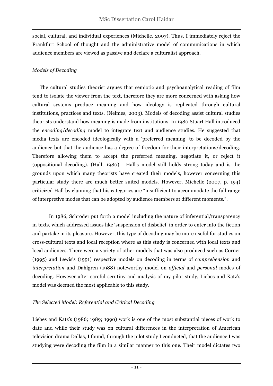social, cultural, and individual experiences (Michelle, 2007). Thus, I immediately reject the Frankfurt School of thought and the administrative model of communications in which audience members are viewed as passive and declare a culturalist approach.

#### *Models of Decoding*

 The cultural studies theorist argues that semiotic and psychoanalytical reading of film tend to isolate the viewer from the text, therefore they are more concerned with asking how cultural systems produce meaning and how ideology is replicated through cultural institutions, practices and texts. (Nelmes, 2003). Models of decoding assist cultural studies theorists understand how meaning is made from institutions. In 1980 Stuart Hall introduced the *encoding*/*decoding* model to integrate text and audience studies. He suggested that media texts are encoded ideologically with a 'preferred meaning' to be decoded by the audience but that the audience has a degree of freedom for their interpretations/decoding. Therefore allowing them to accept the preferred meaning, negotiate it, or reject it (oppositional decoding). (Hall, 1980). Hall's model still holds strong today and is the grounds upon which many theorists have created their models, however concerning this particular study there are much better suited models. However, Michelle (2007, p. 194) criticized Hall by claiming that his categories are "insufficient to accommodate the full range of interpretive modes that can be adopted by audience members at different moments.".

In 1986, Schroder put forth a model including the nature of inferential/transparency in texts, which addressed issues like 'suspension of disbelief' in order to enter into the fiction and partake in its pleasure. However, this type of decoding may be more useful for studies on cross-cultural texts and local reception where as this study is concerned with local texts and local audiences. There were a variety of other models that was also produced such as Corner (1995) and Lewis's (1991) respective models on decoding in terms of *comprehension* and *interpretation* and Dahlgren (1988) noteworthy model on *official* and *personal* modes of decoding. However after careful scrutiny and analysis of my pilot study, Liebes and Katz's model was deemed the most applicable to this study.

#### *The Selected Model: Referential and Critical Decoding*

Liebes and Katz's (1986; 1989; 1990) work is one of the most substantial pieces of work to date and while their study was on cultural differences in the interpretation of American television drama Dallas*,* I found, through the pilot study I conducted, that the audience I was studying were decoding the film in a similar manner to this one. Their model dictates two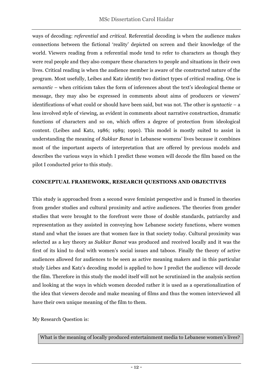ways of decoding: *referential* and *critical*. Referential decoding is when the audience makes connections between the fictional 'reality' depicted on screen and their knowledge of the world. Viewers reading from a referential mode tend to refer to characters as though they were real people and they also compare these characters to people and situations in their own lives. Critical reading is when the audience member is aware of the constructed nature of the program. Most usefully, Leibes and Katz identify two distinct types of critical reading. One is *semantic –* when criticism takes the form of inferences about the text's ideological theme or message, they may also be expressed in comments about aims of producers or viewers' identifications of what could or should have been said, but was not. The other is *syntactic –* a less involved style of viewing, as evident in comments about narrative construction, dramatic functions of characters and so on, which offers a degree of protection from ideological content. (Leibes and Katz, 1986; 1989; 1990). This model is mostly suited to assist in understanding the meaning of *Sukkar Banat* in Lebanese womens' lives because it combines most of the important aspects of interpretation that are offered by previous models and describes the various ways in which I predict these women will decode the film based on the pilot I conducted prior to this study.

#### **CONCEPTUAL FRAMEWORK, RESEARCH QUESTIONS AND OBJECTIVES**

This study is approached from a second wave feminist perspective and is framed in theories from gender studies and cultural proximity and active audiences. The theories from gender studies that were brought to the forefront were those of double standards, patriarchy and representation as they assisted in conveying how Lebanese society functions, where women stand and what the issues are that women face in that society today. Cultural proximity was selected as a key theory as *Sukkar Banat* was produced and received locally and it was the first of its kind to deal with women's social issues and taboos. Finally the theory of active audiences allowed for audiences to be seen as active meaning makers and in this particular study Liebes and Katz's decoding model is applied to how I predict the audience will decode the film. Therefore in this study the model itself will not be scrutinized in the analysis section and looking at the ways in which women decoded rather it is used as a operationalization of the idea that viewers decode and make meaning of films and thus the women interviewed all have their own unique meaning of the film to them.

My Research Question is:

What is the meaning of locally produced entertainment media to Lebanese women's lives?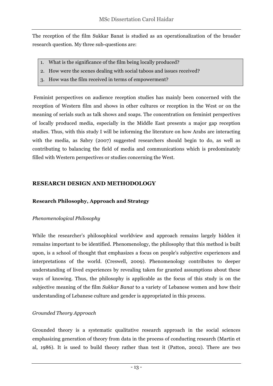The reception of the film Sukkar Banat is studied as an operationalization of the broader research question. My three sub-questions are:

- 1. What is the significance of the film being locally produced?
- 2. How were the scenes dealing with social taboos and issues received?
- 3. How was the film received in terms of empowerment?

Feminist perspectives on audience reception studies has mainly been concerned with the reception of Western film and shows in other cultures or reception in the West or on the meaning of serials such as talk shows and soaps. The concentration on feminist perspectives of locally produced media, especially in the Middle East presents a major gap reception studies. Thus, with this study I will be informing the literature on how Arabs are interacting with the media, as Sabry (2007) suggested researchers should begin to do, as well as contributing to balancing the field of media and communications which is predominately filled with Western perspectives or studies concerning the West.

#### **RESEARCH DESIGN AND METHODOLOGY**

#### **Research Philosophy, Approach and Strategy**

#### *Phenomenological Philosophy*

While the researcher's philosophical worldview and approach remains largely hidden it remains important to be identified. Phenomenology, the philosophy that this method is built upon, is a school of thought that emphasizes a focus on people's subjective experiences and interpretations of the world. (Creswell, 2009). Phenomenology contributes to deeper understanding of lived experiences by revealing taken for granted assumptions about these ways of knowing. Thus, the philosophy is applicable as the focus of this study is on the subjective meaning of the film *Sukkar Banat* to a variety of Lebanese women and how their understanding of Lebanese culture and gender is appropriated in this process.

#### *Grounded Theory Approach*

Grounded theory is a systematic qualitative research approach in the social sciences emphasizing generation of theory from data in the process of conducting research (Martin et al, 1986). It is used to build theory rather than test it (Patton, 2002). There are two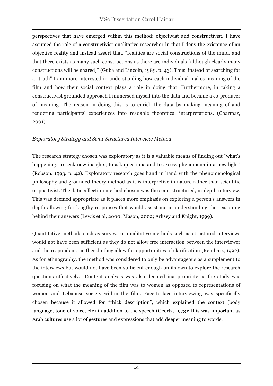perspectives that have emerged within this method: objectivist and constructivist. I have assumed the role of a constructivist qualitative researcher in that I deny the existence of an objective reality and instead assert that, "realities are social constructions of the mind, and that there exists as many such constructions as there are individuals [although clearly many constructions will be shared]" (Guba and Lincoln, 1989, p. 43). Thus, instead of searching for a "truth" I am more interested in understanding how each individual makes meaning of the film and how their social context plays a role in doing that. Furthermore, in taking a constructivist grounded approach I immersed myself into the data and became a co-producer of meaning. The reason in doing this is to enrich the data by making meaning of and rendering participants' experiences into readable theoretical interpretations. (Charmaz, 2001).

#### *Exploratory Strategy and Semi-Structured Interview Method*

The research strategy chosen was exploratory as it is a valuable means of finding out "what's happening; to seek new insights; to ask questions and to assess phenomena in a new light" (Robson, 1993, p. 42). Exploratory research goes hand in hand with the phenomenological philosophy and grounded theory method as it is interpretive in nature rather than scientific or positivist. The data collection method chosen was the semi-structured, in-depth interview. This was deemed appropriate as it places more emphasis on exploring a person's answers in depth allowing for lengthy responses that would assist me in understanding the reasoning behind their answers (Lewis et al, 2000; Mason, 2002; Arksey and Knight, 1999).

Quantitative methods such as surveys or qualitative methods such as structured interviews would not have been sufficient as they do not allow free interaction between the interviewer and the respondent, neither do they allow for opportunities of clarification (Reinharz, 1992). As for ethnography, the method was considered to only be advantageous as a supplement to the interviews but would not have been sufficient enough on its own to explore the research questions effectively. Content analysis was also deemed inappropriate as the study was focusing on what the meaning of the film was to women as opposed to representations of women and Lebanese society within the film. Face-to-face interviewing was specifically chosen because it allowed for "thick description", which explained the context (body language, tone of voice, etc) in addition to the speech (Geertz, 1973); this was important as Arab cultures use a lot of gestures and expressions that add deeper meaning to words.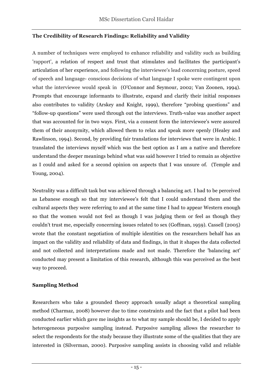#### **The Credibility of Research Findings: Reliability and Validity**

A number of techniques were employed to enhance reliability and validity such as building 'rapport', a relation of respect and trust that stimulates and facilitates the participant's articulation of her experience, and following the interviewee's lead concerning posture, speed of speech and language- conscious decisions of what language I spoke were contingent upon what the interviewee would speak in (O'Connor and Seymour, 2002; Van Zoonen, 1994). Prompts that encourage informants to illustrate, expand and clarify their initial responses also contributes to validity (Arskey and Knight, 1999), therefore "probing questions" and "follow-up questions" were used through out the interviews. Truth-value was another aspect that was accounted for in two ways. First, via a consent form the interviewee's were assured them of their anonymity, which allowed them to relax and speak more openly (Healey and Rawlinson, 1994). Second, by providing fair translations for interviews that were in Arabic. I translated the interviews myself which was the best option as I am a native and therefore understand the deeper meanings behind what was said however I tried to remain as objective as I could and asked for a second opinion on aspects that I was unsure of. (Temple and Young, 2004).

Neutrality was a difficult task but was achieved through a balancing act. I had to be perceived as Lebanese enough so that my interviewee's felt that I could understand them and the cultural aspects they were referring to and at the same time I had to appear Western enough so that the women would not feel as though I was judging them or feel as though they couldn't trust me, especially concerning issues related to sex (Goffman, 1959). Cassell (2005) wrote that the constant negotiation of multiple identities on the researchers behalf has an impact on the validity and reliability of data and findings, in that it shapes the data collected and not collected and interpretations made and not made. Therefore the 'balancing act' conducted may present a limitation of this research, although this was perceived as the best way to proceed.

#### **Sampling Method**

Researchers who take a grounded theory approach usually adapt a theoretical sampling method (Charmaz, 2008) however due to time constraints and the fact that a pilot had been conducted earlier which gave me insights as to what my sample should be, I decided to apply heterogeneous purposive sampling instead. Purposive sampling allows the researcher to select the respondents for the study because they illustrate some of the qualities that they are interested in (Silverman, 2000). Purposive sampling assists in choosing valid and reliable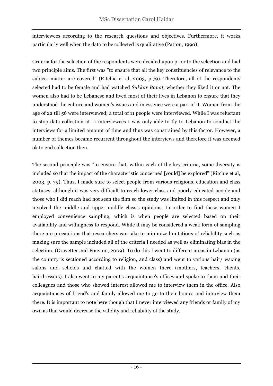interviewees according to the research questions and objectives. Furthermore, it works particularly well when the data to be collected is qualitative (Patton, 1990).

Criteria for the selection of the respondents were decided upon prior to the selection and had two principle aims. The first was "to ensure that all the key constituencies of relevance to the subject matter are covered" (Ritchie et al, 2003, p.79). Therefore, all of the respondents selected had to be female and had watched *Sukkar Banat,* whether they liked it or not. The women also had to be Lebanese and lived most of their lives in Lebanon to ensure that they understood the culture and women's issues and in essence were a part of it. Women from the age of 22 till 56 were interviewed; a total of 11 people were interviewed. While I was reluctant to stop data collection at 11 interviewees I was only able to fly to Lebanon to conduct the interviews for a limited amount of time and thus was constrained by this factor. However, a number of themes became recurrent throughout the interviews and therefore it was deemed ok to end collection then.

The second principle was "to ensure that, within each of the key criteria, some diversity is included so that the impact of the characteristic concerned [could] be explored" (Ritchie et al, 2003, p. 79). Thus, I made sure to select people from various religions, education and class statuses, although it was very difficult to reach lower class and poorly educated people and those who I did reach had not seen the film so the study was limited in this respect and only involved the middle and upper middle class's opinions. In order to find these women I employed convenience sampling, which is when people are selected based on their availability and willingness to respond. While it may be considered a weak form of sampling there are precautions that researchers can take to minimize limitations of reliability such as making sure the sample included all of the criteria I needed as well as eliminating bias in the selection. (Gravetter and Forzano, 2009). To do this I went to different areas in Lebanon (as the country is sectioned according to religion, and class) and went to various hair/ waxing salons and schools and chatted with the women there (mothers, teachers, clients, hairdressers). I also went to my parent's acquaintance's offices and spoke to them and their colleagues and those who showed interest allowed me to interview them in the office. Also acquaintances of friend's and family allowed me to go to their homes and interview them there. It is important to note here though that I never interviewed any friends or family of my own as that would decrease the validity and reliability of the study.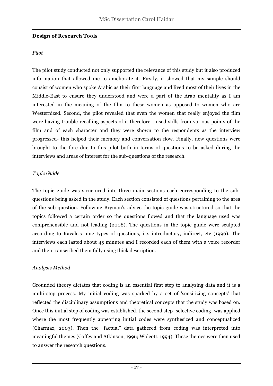#### **Design of Research Tools**

#### *Pilot*

The pilot study conducted not only supported the relevance of this study but it also produced information that allowed me to ameliorate it. Firstly, it showed that my sample should consist of women who spoke Arabic as their first language and lived most of their lives in the Middle-East to ensure they understood and were a part of the Arab mentality as I am interested in the meaning of the film to these women as opposed to women who are Westernized. Second, the pilot revealed that even the women that really enjoyed the film were having trouble recalling aspects of it therefore I used stills from various points of the film and of each character and they were shown to the respondents as the interview progressed- this helped their memory and conversation flow. Finally, new questions were brought to the fore due to this pilot both in terms of questions to be asked during the interviews and areas of interest for the sub-questions of the research.

#### *Topic Guide*

The topic guide was structured into three main sections each corresponding to the subquestions being asked in the study. Each section consisted of questions pertaining to the area of the sub-question. Following Bryman's advice the topic guide was structured so that the topics followed a certain order so the questions flowed and that the language used was comprehensible and not leading (2008). The questions in the topic guide were sculpted according to Kavale's nine types of questions, i.e. introductory, indirect, etc (1996). The interviews each lasted about 45 minutes and I recorded each of them with a voice recorder and then transcribed them fully using thick description.

#### *Analysis Method*

Grounded theory dictates that coding is an essential first step to analyzing data and it is a multi-step process. My initial coding was sparked by a set of 'sensitizing concepts' that reflected the disciplinary assumptions and theoretical concepts that the study was based on. Once this initial step of coding was established, the second step- selective coding- was applied where the most frequently appearing initial codes were synthesized and conceptualized (Charmaz, 2003). Then the "factual" data gathered from coding was interpreted into meaningful themes (Coffey and Atkinson, 1996; Wolcott, 1994). These themes were then used to answer the research questions.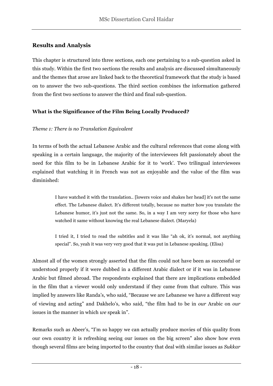## **Results and Analysis**

This chapter is structured into three sections, each one pertaining to a sub-question asked in this study. Within the first two sections the results and analysis are discussed simultaneously and the themes that arose are linked back to the theoretical framework that the study is based on to answer the two sub-questions. The third section combines the information gathered from the first two sections to answer the third and final sub-question.

#### **What is the Significance of the Film Being Locally Produced?**

#### *Theme 1: There is no Translation Equivalent*

In terms of both the actual Lebanese Arabic and the cultural references that come along with speaking in a certain language, the majority of the interviewees felt passionately about the need for this film to be in Lebanese Arabic for it to 'work'. Two trilingual interviewees explained that watching it in French was not as enjoyable and the value of the film was diminished:

> I have watched it with the translation.. [lowers voice and shakes her head] it's not the same effect. The Lebanese dialect. It's different totally, because no matter how you translate the Lebanese humor, it's just not the same. So, in a way I am very sorry for those who have watched it same without knowing the real Lebanese dialect. (Maryela)

> I tried it, I tried to read the subtitles and it was like "ah ok, it's normal, not anything special". So, yeah it was very very good that it was put in Lebanese speaking. (Elisa)

Almost all of the women strongly asserted that the film could not have been as successful or understood properly if it were dubbed in a different Arabic dialect or if it was in Lebanese Arabic but filmed abroad. The respondents explained that there are implications embedded in the film that a viewer would only understand if they came from that culture. This was implied by answers like Randa's, who said, "Because we are Lebanese we have a different way of viewing and acting" and Dakhelo's, who said, "the film had to be in *our* Arabic on *our* issues in the manner in which *we* speak in".

Remarks such as Abeer's, "I'm so happy we can actually produce movies of this quality from our own country it is refreshing seeing our issues on the big screen" also show how even though several films are being imported to the country that deal with similar issues as *Sukkar*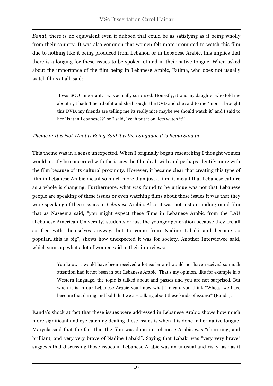*Banat,* there is no equivalent even if dubbed that could be as satisfying as it being wholly from their country. It was also common that women felt more prompted to watch this film due to nothing like it being produced from Lebanon or in Lebanese Arabic, this implies that there is a longing for these issues to be spoken of and in their native tongue. When asked about the importance of the film being in Lebanese Arabic, Fatima, who does not usually watch films at all, said:

> It was SOO important. I was actually surprised. Honestly, it was my daughter who told me about it, I hadn't heard of it and she brought the DVD and she said to me "mom I brought this DVD, my friends are telling me its really nice maybe we should watch it" and I said to her "is it in Lebanese??" so I said, "yeah put it on, lets watch it!"

#### *Theme 2: It is Not What is Being Said it is the Language it is Being Said in*

This theme was in a sense unexpected. When I originally began researching I thought women would mostly be concerned with the issues the film dealt with and perhaps identify more with the film because of its cultural proximity. However, it became clear that creating this type of film in Lebanese Arabic meant so much more than just a film, it meant that Lebanese culture as a whole is changing. Furthermore, what was found to be unique was not that Lebanese people are speaking of these issues or even watching films about these issues it was that they were speaking of these issues in *Lebanese* Arabic. Also, it was not just an underground film that as Nazeema said, "you might expect these films in Lebanese Arabic from the LAU (Lebanese American University) students or just the younger generation because they are all so free with themselves anyway, but to come from Nadine Labaki and become so popular…this is big", shows how unexpected it was for society. Another Interviewee said, which sums up what a lot of women said in their interviews:

> You know it would have been received a lot easier and would not have received so much attention had it not been in our Lebanese Arabic. That's my opinion, like for example in a Western language, the topic is talked about and passes and you are not surprised. But when it is in our Lebanese Arabic you know what I mean, you think "Whoa.. we have become that daring and bold that we are talking about these kinds of issues?" (Randa).

Randa's shock at fact that these issues were addressed in Lebanese Arabic shows how much more significant and eye catching dealing these issues is when it is done in her native tongue. Maryela said that the fact that the film was done in Lebanese Arabic was "charming, and brilliant, and very very brave of Nadine Labaki". Saying that Labaki was "very very brave" suggests that discussing those issues in Lebanese Arabic was an unusual and risky task as it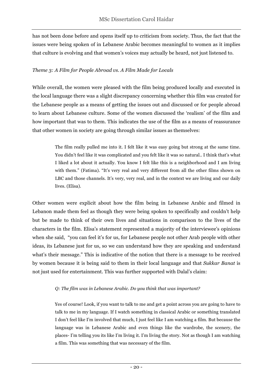has not been done before and opens itself up to criticism from society. Thus, the fact that the issues were being spoken of in Lebanese Arabic becomes meaningful to women as it implies that culture is evolving and that women's voices may actually be heard, not just listened to.

#### *Theme 3: A Film for People Abroad vs. A Film Made for Locals*

While overall, the women were pleased with the film being produced locally and executed in the local language there was a slight discrepancy concerning whether this film was created for the Lebanese people as a means of getting the issues out and discussed or for people abroad to learn about Lebanese culture. Some of the women discussed the 'realism' of the film and how important that was to them. This indicates the use of the film as a means of reassurance that other women in society are going through similar issues as themselves:

> The film really pulled me into it. I felt like it was easy going but strong at the same time. You didn't feel like it was complicated and you felt like it was so natural.. I think that's what I liked a lot about it actually. You know I felt like this is a neighborhood and I am living with them." (Fatima). "It's very real and very different from all the other films shown on LBC and those channels. It's very, very real, and in the context we are living and our daily lives. (Elisa).

Other women were explicit about how the film being in Lebanese Arabic and filmed in Lebanon made them feel as though they were being spoken to specifically and couldn't help but be made to think of their own lives and situations in comparison to the lives of the characters in the film. Elisa's statement represented a majority of the interviewee's opinions when she said, "you can feel it's for us, for Lebanese people not other Arab people with other ideas, its Lebanese just for us, so we can understand how they are speaking and understand what's their message." This is indicative of the notion that there is a message to be received by women because it is being said to them in their local language and that *Sukkar Banat* is not just used for entertainment. This was further supported with Dalal's claim:

#### *Q: The film was in Lebanese Arabic. Do you think that was important?*

 Yes of course! Look, if you want to talk to me and get a point across you are going to have to talk to me in my language. If I watch something in classical Arabic or something translated I don't feel like I'm involved that much, I just feel like I am watching a film. But because the language was in Lebanese Arabic and even things like the wardrobe, the scenery, the places- I'm telling you its like I'm living it. I'm living the story. Not as though I am watching a film. This was something that was necessary of the film.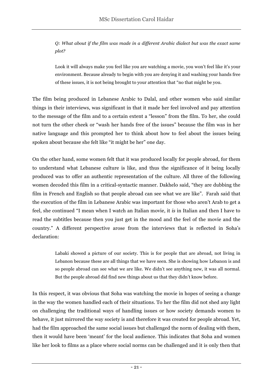*Q: What about if the film was made in a different Arabic dialect but was the exact same plot?*

Look it will always make you feel like you are watching a movie, you won't feel like it's your environment. Because already to begin with you are denying it and washing your hands free of these issues, it is not being brought to your attention that "no that might be you.

The film being produced in Lebanese Arabic to Dalal, and other women who said similar things in their interviews, was significant in that it made her feel involved and pay attention to the message of the film and to a certain extent a "lesson" from the film. To her, she could not turn the other cheek or "wash her hands free of the issues" because the film was in her native language and this prompted her to think about how to feel about the issues being spoken about because she felt like "it might be her" one day.

On the other hand, some women felt that it was produced locally for people abroad, for them to understand what Lebanese culture is like, and thus the significance of it being locally produced was to offer an authentic representation of the culture. All three of the following women decoded this film in a critical-syntactic manner. Dakhelo said, "they are dubbing the film in French and English so that people abroad can see what we are like". Farah said that the execution of the film in Lebanese Arabic was important for those who aren't Arab to get a feel, she continued "I mean when I watch an Italian movie, it *is* in Italian and then I have to read the subtitles because then you just get in the mood and the feel of the movie and the country." A different perspective arose from the interviews that is reflected in Soha's declaration:

> Labaki showed a picture of our society. This is for people that are abroad, not living in Lebanon because these are all things that we have seen. She is showing how Lebanon is and so people abroad can see what we are like. We didn't see anything new, it was all normal. But the people abroad did find new things about us that they didn't know before.

In this respect, it was obvious that Soha was watching the movie in hopes of seeing a change in the way the women handled each of their situations. To her the film did not shed any light on challenging the traditional ways of handling issues or how society demands women to behave, it just mirrored the way society is and therefore it was created for people abroad. Yet, had the film approached the same social issues but challenged the norm of dealing with them, then it would have been 'meant' for the local audience. This indicates that Soha and women like her look to films as a place where social norms can be challenged and it is only then that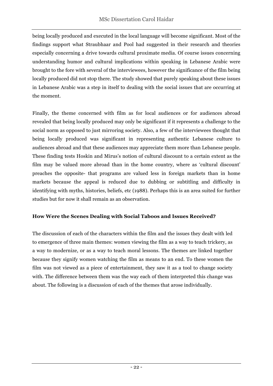being locally produced and executed in the local language will become significant. Most of the findings support what Straubhaar and Pool had suggested in their research and theories especially concerning a drive towards cultural proximate media. Of course issues concerning understanding humor and cultural implications within speaking in Lebanese Arabic were brought to the fore with several of the interviewees, however the significance of the film being locally produced did not stop there. The study showed that purely speaking about these issues in Lebanese Arabic was a step in itself to dealing with the social issues that are occurring at the moment.

Finally, the theme concerned with film as for local audiences or for audiences abroad revealed that being locally produced may only be significant if it represents a challenge to the social norm as opposed to just mirroring society. Also, a few of the interviewees thought that being locally produced was significant in representing authentic Lebanese culture to audiences abroad and that these audiences may appreciate them more than Lebanese people. These finding tests Hoskin and Mirus's notion of cultural discount to a certain extent as the film may be valued more abroad than in the home country, where as 'cultural discount' preaches the opposite- that programs are valued less in foreign markets than in home markets because the appeal is reduced due to dubbing or subtitling and difficulty in identifying with myths, histories, beliefs, etc (1988). Perhaps this is an area suited for further studies but for now it shall remain as an observation.

## **How Were the Scenes Dealing with Social Taboos and Issues Received?**

The discussion of each of the characters within the film and the issues they dealt with led to emergence of three main themes: women viewing the film as a way to teach trickery, as a way to modernize, or as a way to teach moral lessons. The themes are linked together because they signify women watching the film as means to an end. To these women the film was not viewed as a piece of entertainment, they saw it as a tool to change society with. The difference between them was the way each of them interpreted this change was about. The following is a discussion of each of the themes that arose individually.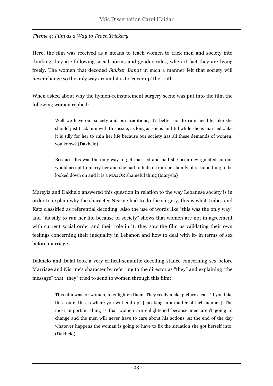#### *Theme 4: Film as a Way to Teach Trickery*

Here, the film was received as a means to teach women to trick men and society into thinking they are following social norms and gender rules, when if fact they are living freely. The women that decoded *Sukkar Banat* in such a manner felt that society will never change so the only way around it is to 'cover up' the truth.

When asked about why the hymen-reinstatement surgery scene was put into the film the following women replied:

> Well we have our society and our traditions, it's better not to ruin her life, like she should just trick him with this issue, as long as she is faithful while she is married…like it is silly for her to ruin her life because our society has all these demands of women, you know? (Dakhelo)

> Because this was the only way to get married and had she been devirginated no one would accept to marry her and she had to hide it from her family, it is something to be looked down on and it is a MAJOR shameful thing (Maryela)

Mareyla and Dakhelo answered this question in relation to the way Lebanese society is in order to explain why the character Nisrine had to do the surgery, this is what Leibes and Katz classified as referential decoding. Also the use of words like "this was the only way" and "its silly to run her life because of society" shows that women are not in agreement with current social order and their role in it; they saw the film as validating their own feelings concerning their inequality in Lebanon and how to deal with it- in terms of sex before marriage.

Dakhelo and Dalal took a very critical-semantic decoding stance concerning sex before Marriage and Nisrine's character by referring to the director as "they" and explaining "the message" that "they" tried to send to women through this film:

> This film was for women, to enlighten them. They really make picture clear, "if you take this route, this is where you will end up" [speaking in a matter of fact manner]. The most important thing is that women are enlightened because men aren't going to change and the men will never have to care about his actions. At the end of the day whatever happens the woman is going to have to fix the situation she got herself into. (Dakhelo)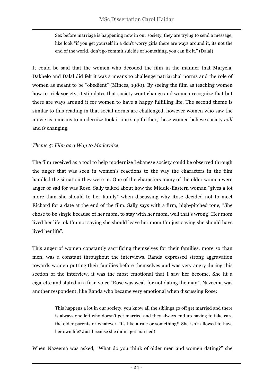Sex before marriage is happening now in our society, they are trying to send a message, like look "if you get yourself in a don't worry girls there are ways around it, its not the end of the world, don't go commit suicide or something, you can fix it." (Dalal)

It could be said that the women who decoded the film in the manner that Maryela, Dakhelo and Dalal did felt it was a means to challenge patriarchal norms and the role of women as meant to be "obedient" (Minces, 1980). By seeing the film as teaching women how to trick society, it stipulates that society wont change and women recognize that but there are ways around it for women to have a happy fulfilling life. The second theme is similar to this reading in that social norms are challenged, however women who saw the movie as a means to modernize took it one step further, these women believe society *will* and *is* changing.

#### *Theme 5: Film as a Way to Modernize*

The film received as a tool to help modernize Lebanese society could be observed through the anger that was seen in women's reactions to the way the characters in the film handled the situation they were in. One of the characters many of the older women were anger or sad for was Rose. Sally talked about how the Middle-Eastern woman "gives a lot more than she should to her family" when discussing why Rose decided not to meet Richard for a date at the end of the film. Sally says with a firm, high-pitched tone, "She chose to be single because of her mom, to stay with her mom, well that's wrong! Her mom lived her life, ok I'm not saying she should leave her mom I'm just saying she should have lived her life".

This anger of women constantly sacrificing themselves for their families, more so than men, was a constant throughout the interviews. Randa expressed strong aggravation towards women putting their families before themselves and was very angry during this section of the interview, it was the most emotional that I saw her become. She lit a cigarette and stated in a firm voice "Rose was weak for not dating the man". Nazeema was another respondent, like Randa who became very emotional when discussing Rose:

> This happens a lot in our society, you know all the siblings go off get married and there is always one left who doesn't get married and they always end up having to take care the older parents or whatever. It's like a rule or something!! She isn't allowed to have her own life? Just because she didn't get married!

When Nazeema was asked, "What do you think of older men and women dating?" she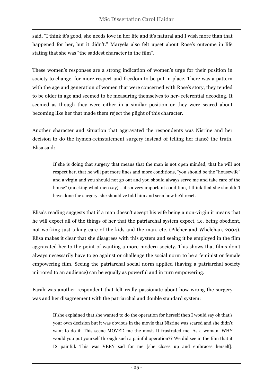said, "I think it's good, she needs love in her life and it's natural and I wish more than that happened for her, but it didn't." Maryela also felt upset about Rose's outcome in life stating that she was "the saddest character in the film".

These women's responses are a strong indication of women's urge for their position in society to change, for more respect and freedom to be put in place. There was a pattern with the age and generation of women that were concerned with Rose's story, they tended to be older in age and seemed to be measuring themselves to her- referential decoding. It seemed as though they were either in a similar position or they were scared about becoming like her that made them reject the plight of this character.

Another character and situation that aggravated the respondents was Nisrine and her decision to do the hymen-reinstatement surgery instead of telling her fiancé the truth. Elisa said:

> If she is doing that surgery that means that the man is not open minded, that he will not respect her, that he will put more lines and more conditions, "you should be the "housewife" and a virgin and you should not go out and you should always serve me and take care of the house" (mocking what men say)… it's a very important condition, I think that she shouldn't have done the surgery, she should've told him and seen how he'd react.

Elisa's reading suggests that if a man doesn't accept his wife being a non-virgin it means that he will expect all of the things of her that the patriarchal system expect, i.e. being obedient, not working just taking care of the kids and the man, etc. (Pilcher and Whelehan, 2004). Elisa makes it clear that she disagrees with this system and seeing it be employed in the film aggravated her to the point of wanting a more modern society. This shows that films don't always necessarily have to go against or challenge the social norm to be a feminist or female empowering film. Seeing the patriarchal social norm applied (having a patriarchal society mirrored to an audience) can be equally as powerful and in turn empowering.

Farah was another respondent that felt really passionate about how wrong the surgery was and her disagreement with the patriarchal and double standard system:

> If she explained that she wanted to do the operation for herself then I would say ok that's your own decision but it was obvious in the movie that Nisrine was scared and she didn't want to do it. This scene MOVED me the most. It frustrated me. As a woman. WHY would you put yourself through such a painful operation?? We did see in the film that it IS painful. This was VERY sad for me [she closes up and embraces herself].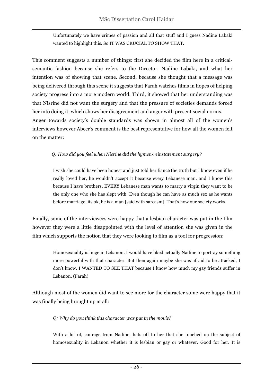Unfortunately we have crimes of passion and all that stuff and I guess Nadine Labaki wanted to highlight this. So IT WAS CRUCIAL TO SHOW THAT.

This comment suggests a number of things: first she decided the film here in a criticalsemantic fashion because she refers to the Director, Nadine Labaki, and what her intention was of showing that scene. Second, because she thought that a message was being delivered through this scene it suggests that Farah watches films in hopes of helping society progress into a more modern world. Third, it showed that her understanding was that Nisrine did not want the surgery and that the pressure of societies demands forced her into doing it, which shows her disagreement and anger with present social norms. Anger towards society's double standards was shown in almost all of the women's interviews however Abeer's comment is the best representative for how all the women felt on the matter:

#### *Q: How did you feel when Nisrine did the hymen-reinstatement surgery?*

I wish she could have been honest and just told her fiancé the truth but I know even if he really loved her, he wouldn't accept it because every Lebanese man, and I know this because I have brothers, EVERY Lebanese man wants to marry a virgin they want to be the only one who she has slept with. Even though he can have as much sex as he wants before marriage, its ok, he is a man [said with sarcasm]. That's how our society works.

Finally, some of the interviewees were happy that a lesbian character was put in the film however they were a little disappointed with the level of attention she was given in the film which supports the notion that they were looking to film as a tool for progression:

> Homosexuality is huge in Lebanon. I would have liked actually Nadine to portray something more powerful with that character. But then again maybe she was afraid to be attacked, I don't know. I WANTED TO SEE THAT because I know how much my gay friends suffer in Lebanon. (Farah)

Although most of the women did want to see more for the character some were happy that it was finally being brought up at all:

#### *Q: Why do you think this character was put in the movie?*

With a lot of, courage from Nadine, hats off to her that she touched on the subject of homosexuality in Lebanon whether it is lesbian or gay or whatever. Good for her. It is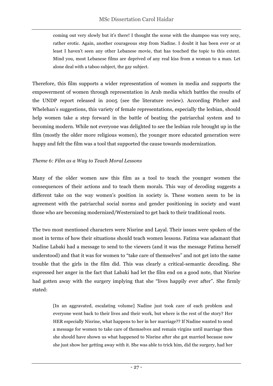coming out very slowly but it's there! I thought the scene with the shampoo was very sexy, rather erotic. Again, another courageous step from Nadine. I doubt it has been ever or at least I haven't seen any other Lebanese movie, that has touched the topic to this extent. Mind you, most Lebanese films are deprived of any real kiss from a woman to a man. Let alone deal with a taboo subject, the gay subject.

Therefore, this film supports a wider representation of women in media and supports the empowerment of women through representation in Arab media which battles the results of the UNDP report released in 2005 (see the literature review). According Pitcher and Whelehan's suggestions, this variety of female representations, especially the lesbian, should help women take a step forward in the battle of beating the patriarchal system and to becoming modern. While not everyone was delighted to see the lesbian role brought up in the film (mostly the older more religious women), the younger more educated generation were happy and felt the film was a tool that supported the cause towards modernization.

#### *Theme 6: Film as a Way to Teach Moral Lessons*

Many of the older women saw this film as a tool to teach the younger women the consequences of their actions and to teach them morals. This way of decoding suggests a different take on the way women's position in society is. These women seem to be in agreement with the patriarchal social norms and gender positioning in society and want those who are becoming modernized/Westernized to get back to their traditional roots.

The two most mentioned characters were Nisrine and Layal. Their issues were spoken of the most in terms of how their situations should teach women lessons. Fatima was adamant that Nadine Labaki had a message to send to the viewers (and it was the message Fatima herself understood) and that it was for women to "take care of themselves" and not get into the same trouble that the girls in the film did. This was clearly a critical-semantic decoding. She expressed her anger in the fact that Labaki had let the film end on a good note, that Nisrine had gotten away with the surgery implying that she "lives happily ever after". She firmly stated:

[In an aggravated, escalating volume] Nadine just took care of each problem and everyone went back to their lives and their work, but where is the rest of the story? Her HER especially Nisrine, what happens to her in her marriage?? If Nadine wanted to send a message for women to take care of themselves and remain virgins until marriage then she should have shown us what happened to Nisrine after she got married because now she just show her getting away with it. She was able to trick him, did the surgery, had her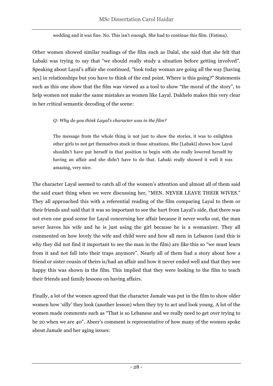wedding and it was fine. No. This isn't enough. She had to continue this film. (Fatima).

Other women showed similar readings of the film such as Dalal, she said that she felt that Labaki was trying to say that "we should really study a situation before getting involved". Speaking about Layal's affair she continued, "look today woman are going all the way [having sex] in relationships but you have to think of the end point. Where is this going?" Statements such as this one show that the film was viewed as a tool to show "the moral of the story", to help women not make the same mistakes as women like Layal. Dakhelo makes this very clear in her critical semantic decoding of the scene:

#### *Q: Why do you think Layal's character was in the film?*

The message from the whole thing is not just to show the stories, it was to enlighten other girls to not get themselves stuck in those situations. She [Labaki] shows how Layal shouldn't have put herself in that position to begin with she really lowered herself by having an affair and she didn't have to do that. Labaki really showed it well it was amazing, very nice.

The character Layal seemed to catch all of the women's attention and almost all of them said the said exact thing when we were discussing her, "MEN. NEVER LEAVE THEIR WIVES." They all approached this with a referential reading of the film comparing Layal to them or their friends and said that it was so important to see the hurt from Layal's side, that there was not even one good scene for Layal concerning her affair because it never works out, the man never leaves his wife and he is just using the girl because he is a womanizer. They all commented on how lovely the wife and child were and how all men in Lebanon (and this is why they did not find it important to see the man in the film) are like this so "we must learn from it and not fall into their traps anymore". Nearly all of them had a story about how a friend or sister cousin of theirs is/had an affair and how it never ended well and that they wee happy this was shown in the film. This implied that they were looking to the film to teach their friends and family lessons on having affairs.

Finally, a lot of the women agreed that the character Jamale was put in the film to show older women how 'silly' they look (another lesson) when they try to act and look young. A lot of the women made comments such as "That is so Lebanese and we really need to get over trying to be 20 when we are 40". Abeer's comment is representative of how many of the women spoke about Jamale and her aging issues: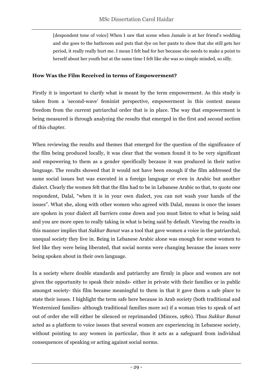[despondent tone of voice] When I saw that scene when Jamale is at her friend's wedding and she goes to the bathroom and puts that dye on her pants to show that she still gets her period, it really really hurt me. I mean I felt bad for her because she needs to make a point to herself about her youth but at the same time I felt like she was so simple minded, so silly.

#### **How Was the Film Received in terms of Empowerment?**

Firstly it is important to clarify what is meant by the term empowerment. As this study is taken from a 'second-wave' feminist perspective, empowerment in this context means freedom from the current patriarchal order that is in place. The way that empowerment is being measured is through analyzing the results that emerged in the first and second section of this chapter.

When reviewing the results and themes that emerged for the question of the significance of the film being produced locally, it was clear that the women found it to be very significant and empowering to them as a gender specifically because it was produced in their native language. The results showed that it would not have been enough if the film addressed the same social issues but was executed in a foreign language or even in Arabic but another dialect. Clearly the women felt that the film had to be in Lebanese Arabic so that, to quote one respondent, Dalal, "when it is in your own dialect, you can not wash your hands of the issues". What she, along with other women who agreed with Dalal, means is once the issues are spoken in your dialect all barriers come down and you must listen to what is being said and you are more open to really taking in what is being said by default. Viewing the results in this manner implies that *Sukkar Banat* was a tool that gave women a voice in the patriarchal, unequal society they live in. Being in Lebanese Arabic alone was enough for some women to feel like they were being liberated, that social norms were changing because the issues were being spoken about in their own language.

In a society where double standards and patriarchy are firmly in place and women are not given the opportunity to speak their minds- either in private with their families or in public amongst society- this film became meaningful to them in that it gave them a safe place to state their issues. I highlight the term safe here because in Arab society (both traditional and Westernized families- although traditional families more so) if a woman tries to speak of act out of order she will either be silenced or reprimanded (Minces, 1980). Thus *Sukkar Banat* acted as a platform to voice issues that several women are experiencing in Lebanese society, without pointing to any women in particular, thus it acts as a safeguard from individual consequences of speaking or acting against social norms.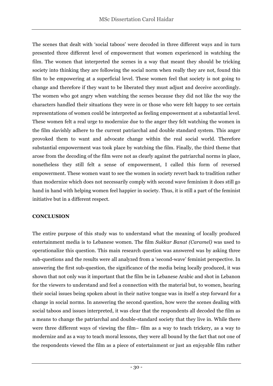The scenes that dealt with 'social taboos' were decoded in three different ways and in turn presented three different level of empowerment that women experienced in watching the film. The women that interpreted the scenes in a way that meant they should be tricking society into thinking they are following the social norm when really they are not, found this film to be empowering at a superficial level. These women feel that society is not going to change and therefore if they want to be liberated they must adjust and deceive accordingly. The women who got angry when watching the scenes because they did not like the way the characters handled their situations they were in or those who were felt happy to see certain representations of women could be interpreted as feeling empowerment at a substantial level. These women felt a real urge to modernize due to the anger they felt watching the women in the film slavishly adhere to the current patriarchal and double standard system. This anger provoked them to want and advocate change within the real social world. Therefore substantial empowerment was took place by watching the film. Finally, the third theme that arose from the decoding of the film were not as clearly against the patriarchal norms in place, nonetheless they still felt a sense of empowerment, I called this form of reversed empowerment. These women want to see the women in society revert back to tradition rather than modernize which does not necessarily comply with second wave feminism it does still go hand in hand with helping women feel happier in society. Thus, it is still a part of the feminist initiative but in a different respect.

#### **CONCLUSION**

The entire purpose of this study was to understand what the meaning of locally produced entertainment media is to Lebanese women. The film *Sukkar Banat (Caramel)* was used to operationalize this question. This main research question was answered was by asking three sub-questions and the results were all analyzed from a 'second-wave' feminist perspective. In answering the first sub-question, the significance of the media being locally produced, it was shown that not only was it important that the film be in Lebanese Arabic and shot in Lebanon for the viewers to understand and feel a connection with the material but, to women, hearing their social issues being spoken about in their native tongue was in itself a step forward for a change in social norms. In answering the second question, how were the scenes dealing with social taboos and issues interpreted, it was clear that the respondents all decoded the film as a means to change the patriarchal and double-standard society that they live in. While there were three different ways of viewing the film– film as a way to teach trickery, as a way to modernize and as a way to teach moral lessons, they were all bound by the fact that not one of the respondents viewed the film as a piece of entertainment or just an enjoyable film rather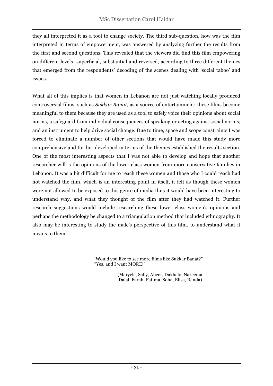they all interpreted it as a tool to change society. The third sub-question, how was the film interpreted in terms of empowerment, was answered by analyzing further the results from the first and second questions. This revealed that the viewers did find this film empowering on different levels- superficial, substantial and reversed, according to three different themes that emerged from the respondents' decoding of the scenes dealing with 'social taboo' and issues.

What all of this implies is that women in Lebanon are not just watching locally produced controversial films, such as *Sukkar Banat*, as a source of entertainment; these films become meaningful to them because they are used as a tool to safely voice their opinions about social norms, a safeguard from individual consequences of speaking or acting against social norms, and an instrument to help drive social change. Due to time, space and scope constraints I was forced to eliminate a number of other sections that would have made this study more comprehensive and further developed in terms of the themes established the results section. One of the most interesting aspects that I was not able to develop and hope that another researcher will is the opinions of the lower class women from more conservative families in Lebanon. It was a bit difficult for me to reach these women and those who I could reach had not watched the film, which is an interesting point in itself, it felt as though these women were not allowed to be exposed to this genre of media thus it would have been interesting to understand why, and what they thought of the film after they had watched it. Further research suggestions would include researching these lower class women's opinions and perhaps the methodology be changed to a triangulation method that included ethnography. It also may be interesting to study the male's perspective of this film, to understand what it means to them.

> "Would you like to see more films like Sukkar Banat?" "Yes, and I want MORE!"

> > (Maryela, Sally, Abeer, Dakhelo, Nazeema, Dalal, Farah, Fatima, Soha, Elisa, Randa)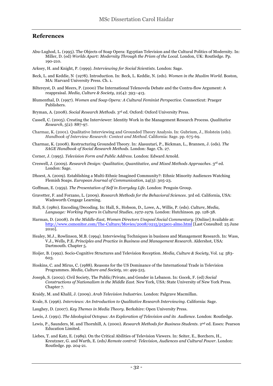#### **References**

- Abu-Lughod, L. (1995). The Objects of Soap Opera: Egyptian Television and the Cultural Politics of Modernity. In: Miller, D. (ed) *Worlds Apart: Modernity Through the Prism of the Local.* London, UK: Routledge. Pp. 190-210.
- Arksey, H. and Knight, P. (1999). *Interviewing for Social Scientists.* London: Sage.
- Beck, L. and Keddie, N (1978). Introduction. In: Beck, L. Keddie, N. (eds). *Women in the Muslim World*. Boston, MA: Harvard University Press. Ch. 1.
- Biltereyst, D. and Meers, P. (2000) The International Telenovela Debate and the Contra-flow Argument: A reappraisal. *Media, Culture & Society*, 22(4): 393–413.
- Blumenthal, D. (1997). *Women and Soap Opera: A Cultural Feminist Perspective.* Connecticut: Praeger Publishers.
- Bryman, A. (2008). *Social Research Methods*. 3rd ed. Oxford: Oxford University Press.
- Cassell, C. (2005). Creating the Interviewer: Identity Work in the Management Research Process. *Qualitative Research*, 5(2): 887-97.
- Charmaz, K. (2001). Qualitative Interviewing and Grounded Theory Analysis. In: Gubrium, J., Holstein (eds). *Handbook of Interview Research: Context and Method*. California: Sage. pp. 675-69.
- Charmaz, K. (2008). Restructuring Grounded Theory. In: Alasuutari, P., Bickman, L., Brannen, J. (eds). *The SAGE Handbook of Social Research Methods*. London: Sage. Ch. 27.
- Corner, J. (1995). *Television Form and Public Address*. London: Edward Arnold.
- Creswell, J. (2009). *Research Design: Qualitative, Quantitative, and Mixed Methods Approaches*. 3rd ed. London: Sage.
- Dhoest, A. (2009). Establishing a Multi-Ethnic Imagined Community?: Ethnic Minority Audiences Watching Flemish Soaps. *European Journal of Communication*, 24(3): 305-23.
- Goffman, E. (1959). *The Presentation of Self in Everyday Life*. London: Penguin Group.
- Gravetter, F. and Forzano, L. (2009). *Research Methods for the Behavioral Sciences*. 3rd ed. California, USA: Wadsworth Cengage Learning.
- Hall, S. (1980). Encoding/Decoding. In: Hall, S., Hobson, D., Lowe, A., Willis, P. (eds). *Culture, Media, Language: Working Papers in Cultural Studies, 1972-1979*. London: Hutchinson. pp. 128-38.
- Harman, D. (2008). *In the Middle-East, Women Directors Unspool Social Commentary*. [Online] Available at: http://www.csmonitor.com/The-Culture/Movies/2008/0215/p13s01-almo.html [Last Consulted: 25 June 2010].
- Healey, M.J., Rowlinson, M.B. (1994). Interviewing Techniques in business and Management Research. In: Wass, V.J., Wells, P.E. *Principles and Practice in Business and Management Research*. Aldershot, USA: Dartmouth. Chapter 5.
- Hoijer, B. (1992). Socio-Cognitive Structures and Television Reception. *Media, Culture & Society*, Vol. 14: 583- 603.
- Hoskins, C. and Mirus, C. (1988). Reasons for the US Dominance of the International Trade in Television Programmes. *Media, Culture and Society*, 10: 499-515.
- Joseph, S. (2002). Civil Society, The Public/Private, and Gender in Lebanon. In: Gocek, F*.* (ed) *Social Constructions of Nationalism in the Middle East.* New York, USA: State University of New York Press. Chapter 7.
- Kraidy, M. and Khalil, J. (2009). *Arab Television Industries*. London: Palgrave Macmillan.
- Kvale, S. (1996). *Interviews: An Introduction to Qualitative Research Interviewing*. California: Sage.
- Laughey, D. (2007). *Key Themes in Media Theory*. Berkshire: Open University Press.
- Lewis, J. (1991). *The Ideological Octopus: An Exploration of Television and its Audience.* London: Routledge.
- Lewis, P., Saunders, M. and Thornhill, A. (2000). *Research Methods for Business Students*. 2nd ed. Essex: Pearson Education Limited.
- Liebes, T. and Katz, E. (1989). On the Critical Abilities of Television Viewers. In: Seiter, E., Borchers, H., Kreutzner, G. and Warth, E. (eds*) Remote control: Television, Audiences and Cultural Power*. London: Routledge. pp. 204-21.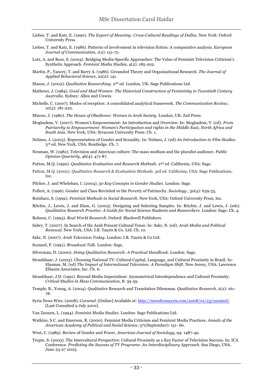- Liebes, T. and Katz, E. (1990). *The Export of Meaning: Cross-Cultural Readings of Dallas*. New York: Oxford University Press.
- Liebes, T. and Katz, E. (1986). Patterns of involvement in television fiction: A comparative analysis. *European Journal of Communication*, 1(2): 151-72.
- Lotz, A. and Ross, S. (2004). Bridging Media-Specific Approaches: The Value of Feminist Television Criticism's Synthetic Approach. *Feminist Media Studie*s, 4(2): 185-202.
- Martin, P., Yancey, T. and Barry A. (1986). Grounded Theory and Organizational Research*. The Journal of Applied Behavioral Science*, 22(2): 141.
- Mason, J. (2002). *Qualitative Researching*. 2<sup>nd</sup> ed. London, UK: Sage Publications Ltd.
- Mathews, J. (1984). *Good and Mad Women: The Historical Construction of Femininity in Twentieth Century Australia.* Sydney: Allen and Unwin.
- Michelle, C. (2007). Modes of reception: A consolidated analytical framework. *The Communication Review*, 10(3): 181-222.
- Minces, J. (1980). *The House of Obedience: Women in Arab Society*. London, UK: Zed Press.
- Moghadem, V. (2007). Women's Empowerment: An Introduction and Overview. In: Moghadem, V. (ed). *From Patriarchy to Empowerment: Women's Participation and rights in the Middle East, North Africa and South Asia.* New York, USA: Syracuse University Press. Ch. 1.
- Nelmes, J. (2003). Representation of Gender and Sexuality. In: Nelmes, J. (ed) *An Introduction to Film Studies*. 3rd ed. New York, USA: Routledge. Ch. 7.
- Neuman, W. (1982). Television and American culture: The mass medium and the pluralist audience. *Public Opinion Quarterly*, 46(4): 471-87.
- Patton, M.Q. (1990). *Qualitative Evaluation and Research Methods*. 2nd ed. California, USA: Sage.
- Patton, M.Q. (2002). *Qualitative Research & Evaluation Methods*. 3rd ed. California, USA: Sage Publications, Inc.
- Pilcher, J. and Whelehan, I. (2004). *50 Key Concepts in Gender Studies*. London: Sage.
- Pollert, A. (1996). Gender and Class Revisited or the Poverty of Patriarchy. *Sociology* , 30(4): 639-35.
- Reinharz, S. (1992). *Feminist Methods in Social Research*. New York, USA: Oxford University Press, Inc.
- Ritchie, J., Lewis, J. and Elam, G. (2003). Designing and Selecting Samples. In: Ritchie, J. and Lewis, J. (eds). *Qualitative Research Practice: A Guide for Social Science Students and Researchers*. London: Sage. Ch. 4.
- Robson, C. (1993). *Real World Research*. Oxford: Blackwell Publishers.
- Sabry, T. (2007). In Search of the Arab Present Cultural Tense. In: Sakr, N. (ed). *Arab Media and Political Renewal*. New York, USA: I.B. Tauris & Co. Ltd. Ch. 10.
- Sakr, N. (2007). *Arab Television Today*. London: I.B. Tauris & Co Ltd.
- Scannel, P. (1991). *Broadcast Talk*. London: Sage.
- Silverman, D. (2000). *Doing Qualitative Research: A Practical Handbook*. London: Sage.
- Straubhaar, J. (2003). Choosing National TV: Cultural Capital, Language, and Cultural Proximity in Brazil. In: Elasmar, M. (ed) *The Impact of International Television: A Paradigm Shift.* New Jersey, USA: Lawrence Elbaum Associates, Inc. Ch. 6.
- Straubhaar, J.D. (1991). Beyond Media Imperialism: Asymmetrical Interdependence and Cultural Proximity. *Critical Studies in Mass Communication*, 8: 39-59.
- Temple, B., Young, A. (2004). Qualitative Research and Translation Dilemmas. *Qualitative Research*, 2(2): 161- 78.
- Syria News Wire. (2008). *Caramel.* [Online] Available at: http://newsfromsyria.com/2008/01/23/caramel/ [Last Consulted 9 July 2010].
- Van Zoonen, L. (1994). *Feminist Media Studies*. London: Sage Publications Ltd.
- Watkins, S.C. and Emerson, R. (2000). Feminist Media Criticism and Feminist Media Practices. *Annals of the American Academy of Political and Social Science*, 571(September): 151- 66.
- West, C. (1989). Review of Gender and Power. *American Journal of Sociology*, 94: 1487-49.
- Trepte, S. (2003). The Intercultural Perspective: Cultural Proximity as a Key Factor of Television Success. In: ICA Conference. *Predicting the Success of TV Programs- An Interdisciplinary Approach.* San Diego, USA. June 23-27 2003.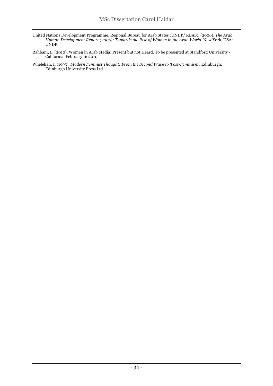- United Nations Development Programme, Regional Bureau for Arab States (UNDP/ RBAS). (2006). *The Arab Human Development Report (2005): Towards the Rise of Women in the Arab World*. New York, USA: UNDP.
- Rahbani, L. (2010). Women in Arab Media: Present but not Heard. To be presented at Standford University California. February 16 2010.
- Whelehan, I. (1995). *Modern Feminist Thought: From the Second Wave to 'Post-Feminism'*. Edinburgh: Edinburgh University Press Ltd.